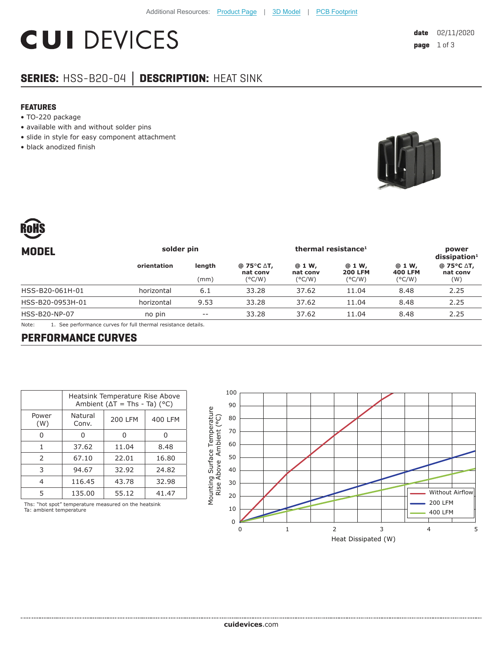# **CUI DEVICES**

## **SERIES:** HSS-B20-04 **│ DESCRIPTION:** HEAT SINK

#### **FEATURES**

- TO-220 package
- available with and without solder pins
- slide in style for easy component attachment
- black anodized finish





| <b>MODEL</b>         | solder pin                                                                                                       |                | thermal resistance <sup>1</sup>                       |                                       |                                             |                                             | power<br>dissigmoid <sup>1</sup> |
|----------------------|------------------------------------------------------------------------------------------------------------------|----------------|-------------------------------------------------------|---------------------------------------|---------------------------------------------|---------------------------------------------|----------------------------------|
|                      | orientation                                                                                                      | length<br>(mm) | @ 75 $\degree$ C $\triangle$ T,<br>nat conv<br>(°C/W) | @ 1 W,<br>nat conv<br>$(^{\circ}C/W)$ | @ 1 W,<br><b>200 LFM</b><br>$(^{\circ}C/W)$ | @ 1 W,<br><b>400 LFM</b><br>$(^{\circ}C/W)$ | @ 75°C ∆T,<br>nat conv<br>(W)    |
| HSS-B20-061H-01      | horizontal                                                                                                       | 6.1            | 33.28                                                 | 37.62                                 | 11.04                                       | 8.48                                        | 2.25                             |
| HSS-B20-0953H-01     | horizontal                                                                                                       | 9.53           | 33.28                                                 | 37.62                                 | 11.04                                       | 8.48                                        | 2.25                             |
| <b>HSS-B20-NP-07</b> | no pin                                                                                                           | $- -$          | 33.28                                                 | 37.62                                 | 11.04                                       | 8.48                                        | 2.25                             |
| $N = 1$              | the complete service of the complete state of the complete service of the state of the state of the state of the |                |                                                       |                                       |                                             |                                             |                                  |

Note: 1. See performance curves for full thermal resistance details.

#### **PERFORMANCE CURVES**

|               | Heatsink Temperature Rise Above<br>Ambient ( $\Delta T$ = Ths - Ta) (°C) |                |         |  |  |  |
|---------------|--------------------------------------------------------------------------|----------------|---------|--|--|--|
| Power<br>(W)  | Natural<br>Conv.                                                         | <b>200 LFM</b> | 400 LFM |  |  |  |
|               |                                                                          | O              |         |  |  |  |
| 1             | 37.62                                                                    | 11.04          | 8.48    |  |  |  |
| $\mathcal{P}$ | 67.10                                                                    | 22.01          | 16.80   |  |  |  |
| 3             | 94.67                                                                    | 32.92          | 24.82   |  |  |  |
| 4             | 116.45                                                                   | 43.78          | 32.98   |  |  |  |
| 5             | 135.00                                                                   | 55.12          | 41.47   |  |  |  |

Ths: "hot spot" temperature measured on the heatsink Ta: ambient temperature

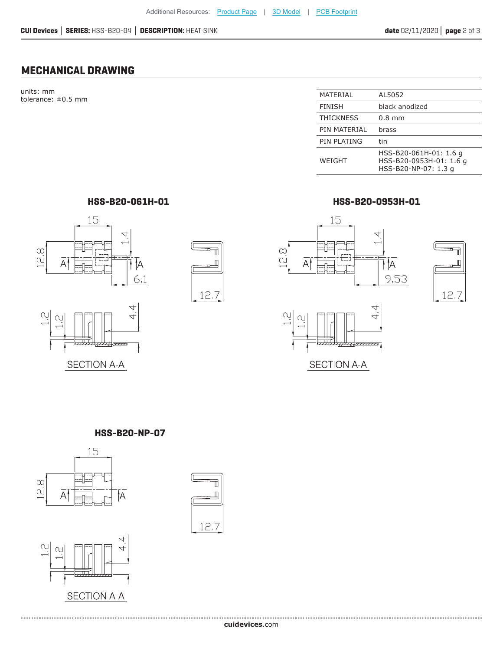## **MECHANICAL DRAWING**

units: mm  $t$ olerance:  $\pm 0.5$  mm

| MATERIAL         | AL5052                                                                    |
|------------------|---------------------------------------------------------------------------|
| <b>FINISH</b>    | black anodized                                                            |
| <b>THICKNESS</b> | $0.8$ mm                                                                  |
| PIN MATERIAL     | brass                                                                     |
| PIN PLATING      | tin                                                                       |
| WEIGHT           | HSS-B20-061H-01: 1.6 q<br>HSS-B20-0953H-01: 1.6 g<br>HSS-B20-NP-07: 1.3 g |

**HSS-B20-061H-01 HSS-B20-0953H-01**







**HSS-B20-NP-07**



....................